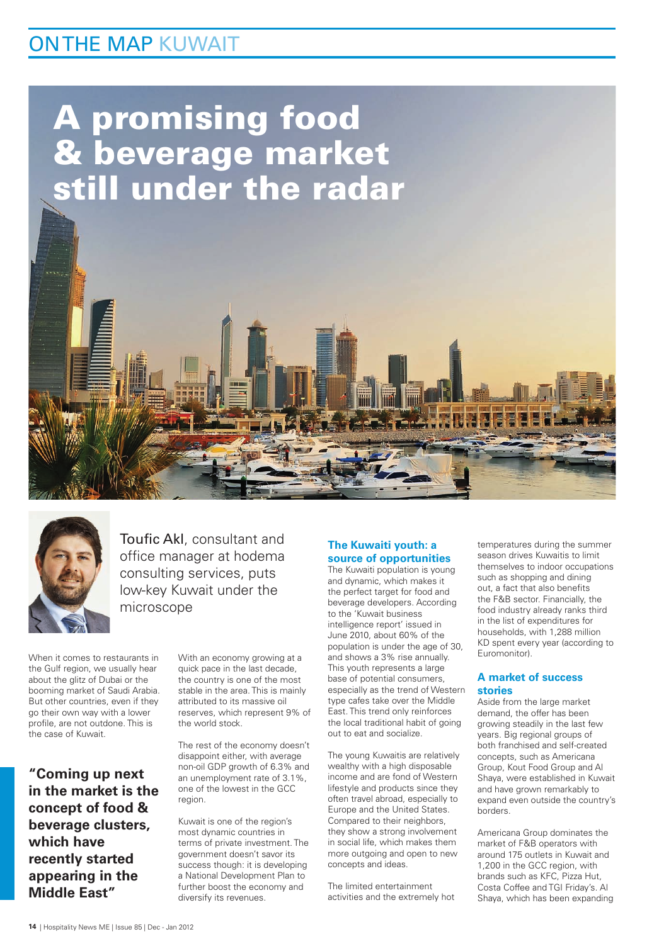## ON THE MAP KUWAIT

# A promising food & beverage market still under the radar



Toufic Akl, consultant and office manager at hodema consulting services, puts low-key Kuwait under the microscope

When it comes to restaurants in the Gulf region, we usually hear about the glitz of Dubai or the booming market of Saudi Arabia. But other countries, even if they go their own way with a lower profile, are not outdone. This is the case of Kuwait.

**"Coming up next in the market is the concept of food & beverage clusters, which have recently started appearing in the Middle East"**

With an economy growing at a quick pace in the last decade, the country is one of the most stable in the area. This is mainly attributed to its massive oil reserves, which represent 9% of the world stock.

The rest of the economy doesn't disappoint either, with average non-oil GDP growth of 6.3% and an unemployment rate of 3.1%, one of the lowest in the GCC region.

Kuwait is one of the region's most dynamic countries in terms of private investment. The government doesn't savor its success though: it is developing a National Development Plan to further boost the economy and diversify its revenues.

#### **The Kuwaiti youth: a source of opportunities**

The Kuwaiti population is young and dynamic, which makes it the perfect target for food and beverage developers. According to the 'Kuwait business intelligence report' issued in June 2010, about 60% of the population is under the age of 30, and shows a 3% rise annually. This youth represents a large base of potential consumers, especially as the trend of Western type cafes take over the Middle East. This trend only reinforces the local traditional habit of going out to eat and socialize.

The young Kuwaitis are relatively wealthy with a high disposable income and are fond of Western lifestyle and products since they often travel abroad, especially to Europe and the United States. Compared to their neighbors, they show a strong involvement in social life, which makes them more outgoing and open to new concepts and ideas.

The limited entertainment activities and the extremely hot

temperatures during the summer season drives Kuwaitis to limit themselves to indoor occupations such as shopping and dining out, a fact that also benefits the F&B sector. Financially, the food industry already ranks third in the list of expenditures for households, with 1,288 million KD spent every year (according to Euromonitor).

#### **A market of success stories**

Aside from the large market demand, the offer has been growing steadily in the last few years. Big regional groups of both franchised and self-created concepts, such as Americana Group, Kout Food Group and Al Shaya, were established in Kuwait and have grown remarkably to expand even outside the country's borders.

Americana Group dominates the market of F&B operators with around 175 outlets in Kuwait and 1,200 in the GCC region, with brands such as KFC, Pizza Hut, Costa Coffee and TGI Friday's. Al Shaya, which has been expanding